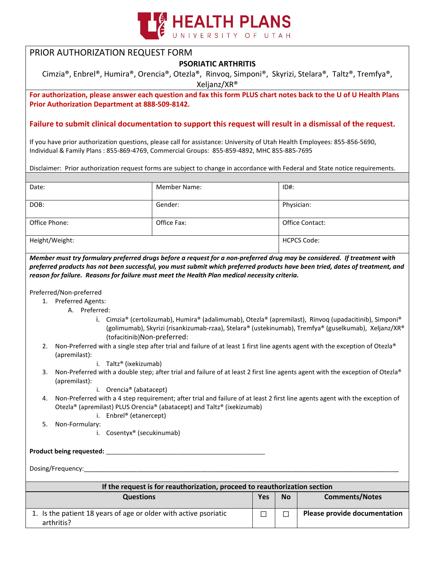

# PRIOR AUTHORIZATION REQUEST FORM

## **PSORIATIC ARTHRITIS**

Cimzia®, Enbrel®, Humira®, Orencia®, Otezla®, Rinvoq, Simponi®, Skyrizi, Stelara®, Taltz®, Tremfya®,

Xeljanz/XR®

**For authorization, please answer each question and fax this form PLUS chart notes back to the U of U Health Plans Prior Authorization Department at 888-509-8142.** 

## **Failure to submit clinical documentation to support this request will result in a dismissal of the request.**

If you have prior authorization questions, please call for assistance: University of Utah Health Employees: 855-856-5690, Individual & Family Plans : 855-869-4769, Commercial Groups: 855-859-4892, MHC 855-885-7695

Disclaimer: Prior authorization request forms are subject to change in accordance with Federal and State notice requirements.

| Date:          | <b>Member Name:</b> | $ID#$ :            |
|----------------|---------------------|--------------------|
| DOB:           | Gender:             | Physician:         |
| Office Phone:  | Office Fax:         | Office Contact:    |
| Height/Weight: |                     | <b>HCPCS Code:</b> |

*Member must try formulary preferred drugs before a request for a non-preferred drug may be considered. If treatment with preferred products has not been successful, you must submit which preferred products have been tried, dates of treatment, and reason for failure. Reasons for failure must meet the Health Plan medical necessity criteria.*

### Preferred/Non-preferred

- 1. Preferred Agents:
	- A. Preferred:
		- i. Cimzia® (certolizumab), Humira® (adalimumab), Otezla® (apremilast), Rinvoq (upadacitinib), Simponi® (golimumab), Skyrizi (risankizumab-rzaa), Stelara® (ustekinumab), Tremfya® (guselkumab), Xeljanz/XR® (tofacitinib)Non-preferred:
- 2. Non-Preferred with a single step after trial and failure of at least 1 first line agents agent with the exception of Otezla® (apremilast):
	- i. Taltz® (ixekizumab)
- 3. Non-Preferred with a double step; after trial and failure of at least 2 first line agents agent with the exception of Otezla® (apremilast):
	- i. Orencia® (abatacept)
- 4. Non-Preferred with a 4 step requirement; after trial and failure of at least 2 first line agents agent with the exception of Otezla® (apremilast) PLUS Orencia® (abatacept) and Taltz® (ixekizumab)
	- i. Enbrel® (etanercept)
- 5. Non-Formulary:
	- i. Cosentyx® (secukinumab)

**Product being requested:** \_\_\_\_\_\_\_\_\_\_\_\_\_\_\_\_\_\_\_\_\_\_\_\_\_\_\_\_\_\_\_\_\_\_\_\_\_\_\_\_\_\_\_\_\_\_\_\_\_\_\_\_\_\_

Dosing/Frequency:

| If the request is for reauthorization, proceed to reauthorization section      |  |           |                                     |  |
|--------------------------------------------------------------------------------|--|-----------|-------------------------------------|--|
| <b>Questions</b>                                                               |  | <b>No</b> | <b>Comments/Notes</b>               |  |
| 1. Is the patient 18 years of age or older with active psoriatic<br>arthritis? |  |           | <b>Please provide documentation</b> |  |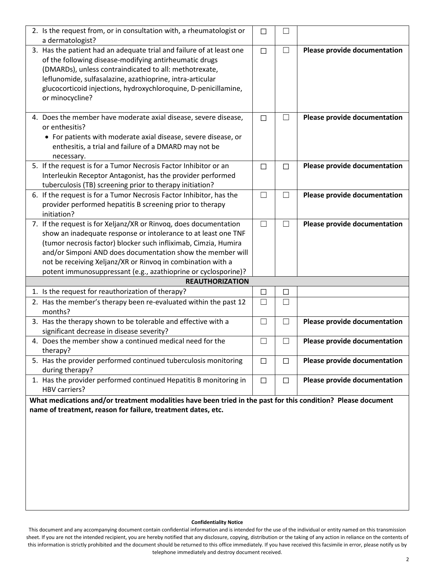| 2. Is the request from, or in consultation with, a rheumatologist or<br>a dermatologist?                                                                                                                                                                                                                                                                                                              | □      |        |                              |  |  |  |
|-------------------------------------------------------------------------------------------------------------------------------------------------------------------------------------------------------------------------------------------------------------------------------------------------------------------------------------------------------------------------------------------------------|--------|--------|------------------------------|--|--|--|
| 3. Has the patient had an adequate trial and failure of at least one<br>of the following disease-modifying antirheumatic drugs<br>(DMARDs), unless contraindicated to all: methotrexate,<br>leflunomide, sulfasalazine, azathioprine, intra-articular<br>glucocorticoid injections, hydroxychloroquine, D-penicillamine,<br>or minocycline?                                                           | $\Box$ | $\Box$ | Please provide documentation |  |  |  |
| 4. Does the member have moderate axial disease, severe disease,<br>or enthesitis?<br>• For patients with moderate axial disease, severe disease, or<br>enthesitis, a trial and failure of a DMARD may not be<br>necessary.                                                                                                                                                                            | $\Box$ | $\Box$ | Please provide documentation |  |  |  |
| 5. If the request is for a Tumor Necrosis Factor Inhibitor or an<br>Interleukin Receptor Antagonist, has the provider performed<br>tuberculosis (TB) screening prior to therapy initiation?                                                                                                                                                                                                           | $\Box$ | $\Box$ | Please provide documentation |  |  |  |
| 6. If the request is for a Tumor Necrosis Factor Inhibitor, has the<br>provider performed hepatitis B screening prior to therapy<br>initiation?                                                                                                                                                                                                                                                       | $\Box$ | $\Box$ | Please provide documentation |  |  |  |
| 7. If the request is for Xeljanz/XR or Rinvog, does documentation<br>show an inadequate response or intolerance to at least one TNF<br>(tumor necrosis factor) blocker such infliximab, Cimzia, Humira<br>and/or Simponi AND does documentation show the member will<br>not be receiving Xeljanz/XR or Rinvoq in combination with a<br>potent immunosuppressant (e.g., azathioprine or cyclosporine)? | $\Box$ |        | Please provide documentation |  |  |  |
| <b>REAUTHORIZATION</b>                                                                                                                                                                                                                                                                                                                                                                                |        |        |                              |  |  |  |
| 1. Is the request for reauthorization of therapy?                                                                                                                                                                                                                                                                                                                                                     | $\Box$ | □      |                              |  |  |  |
| 2. Has the member's therapy been re-evaluated within the past 12<br>months?                                                                                                                                                                                                                                                                                                                           | $\Box$ | П      |                              |  |  |  |
| 3. Has the therapy shown to be tolerable and effective with a<br>significant decrease in disease severity?                                                                                                                                                                                                                                                                                            | $\Box$ | $\Box$ | Please provide documentation |  |  |  |
| 4. Does the member show a continued medical need for the<br>therapy?                                                                                                                                                                                                                                                                                                                                  | $\Box$ | $\Box$ | Please provide documentation |  |  |  |
| 5. Has the provider performed continued tuberculosis monitoring<br>during therapy?                                                                                                                                                                                                                                                                                                                    | $\Box$ | □      | Please provide documentation |  |  |  |
| 1. Has the provider performed continued Hepatitis B monitoring in<br>HBV carriers?                                                                                                                                                                                                                                                                                                                    | $\Box$ | $\Box$ | Please provide documentation |  |  |  |
| What medications and/or treatment modalities have been tried in the past for this condition? Please document<br>name of treatment, reason for failure, treatment dates, etc.                                                                                                                                                                                                                          |        |        |                              |  |  |  |

#### **Confidentiality Notice**

This document and any accompanying document contain confidential information and is intended for the use of the individual or entity named on this transmission sheet. If you are not the intended recipient, you are hereby notified that any disclosure, copying, distribution or the taking of any action in reliance on the contents of this information is strictly prohibited and the document should be returned to this office immediately. If you have received this facsimile in error, please notify us by telephone immediately and destroy document received.